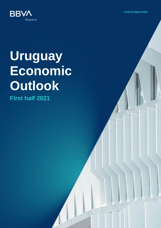**Creating Opportunities** 



# **Uruguay Economic Outlook**

**First half 2021**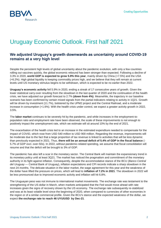

## Uruguay Economic Outlook. First half 2021

#### **We adjusted Uruguay's growth downwards as uncertainty around COVID-19 remains at a very high level**

Despite the persistent high levels of global uncertainty about the pandemic evolution, with only a few countries rolling out vaccines quickly, the global economic rebound has been stronger than expected. Following a decline of 3.3% in 2020, **world GDP is expected to grow 5.9% this year**, mainly driven by China (+7.5%) and the USA (+6.2%). High global liquidity is keeping commodity prices high, and we believe that they will remain at current levels until US monetary stimulus begins to be withdrawn, which is expected to be no earlier than 2022.

**Uruguay's economic activity** fell 5.9% in 2020, ending a streak of 17 consecutive years of growth. Given the lower statistical carry-over resulting from the slowdown in the last quarter of 2020 and the continuation of the health crisis, we have adjusted our growth forecast to 2.7% **(down from 4%)**. Meanwhile, the trajectory in our baseline scenario has been confirmed by certain mixed signals from the partial indicators relating to activity in 1Q21. Growth will be driven by investment (11.7%), bolstered by the UPM2 project and the Central Railroad, and a moderate increase in consumption (+1.6%). With the health crisis under control, we expect a greater activity growth in 2022, 3.5%.

The **labor market** continues to be severely hit by the pandemic, and while increases in the employment-topopulation ratio and employment rate have been observed, the scale of these improvements is not enough to positively impact the unemployment rate, which we estimate will sit around 10% by the end of 2021.

The exacerbation of the health crisis led to an increase in the estimated expenditure needed to compensate for the impact of COVID, which rose from USD 540 million to USD 900 million. Regarding the revenue, improvements will be moderate due to the fact that a large proportion of tax revenue is linked to activities that will be less dynamic than previously expected in 2021. Thus, **there will be an annual deficit of 5.4% of GDP in the fiscal balance** (- 5.7% of GDP excl. over-50s). In 2022, without pandemic-related spending, we assume that fiscal consolidation will resume and that the deficit will be brought to 3% of GDP.

The pandemic has also left a scar in the monetary sector. The Central Bank will maintain the expansionary trend in its monetary policy until at least 3Q21. The market has noticed the pragmatism and commitment of the monetary authority in its fight against inflation. Consequently, despite the accommodative stance of the BCU (*Banco Central del Uruguay* — Central Bank of Uruguay), inflation expectations and CPI records indicate a sharp slowdown in the next 24 months. The delicate situation in the labor market, the wage agreement for this year and the weakness of the dollar have lifted the pressure on prices, which will lead to **inflation of 7.2% in 2021**. The slowdown in 2022 will be less pronounced due to improved economic activity and inflation will hit 6.8%.

The Uruguayan peso was not immune to international market movements. The exchange rate was testament to the strengthening of the US dollar in March, when markets anticipated that the Fed would move ahead with rate increases given the signs of recovery shown by the US economy. The exchange rate subsequently re-stabilized and was at its least volatile level since the beginning of 2020, when compared to currencies of other economies in the region or of a similar commercial profile. Given the BCU's stance and the expected weakness of the dollar, we expect **the exchange rate to reach 46 UYU/USD by Dec-21**.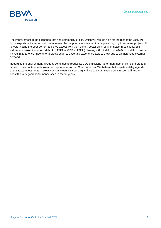

The improvement in the exchange rate and commodity prices, which will remain high for the rest of the year, will boost exports while imports will be increased by the purchases needed to complete ongoing investment projects. It is worth noting the poor performance we expect from the Tourism sector as a result of health restrictions. **We estimate a current account deficit of 2.3% of GDP in 2021** (following a 0.5% deficit in 2020). This deficit may be halved in 2022 once imports for projects begin to ease and exports are able to grow due to an increased external demand.

Regarding the environment, Uruguay continues to reduce its CO2 emissions faster than most of its neighbors and is one of the countries with lower per capita emissions in South America. We believe that a sustainability agenda that attracts investments in areas such as clean transport, agriculture and sustainable construction will further boost the very good performance seen in recent years.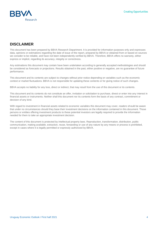

#### **DISCLAIMER**

This document has been prepared by BBVA Research Department. It is provided for information purposes only and expresses data, opinions or estimations regarding the date of issue of the report, prepared by BBVA or obtained from or based on sources we consider to be reliable, and have not been independently verified by BBVA. Therefore, BBVA offers no warranty, either express or implicit, regarding its accuracy, integrity or correctness.

Any estimations this document may contain have been undertaken according to generally accepted methodologies and should be considered as forecasts or projections. Results obtained in the past, either positive or negative, are no guarantee of future performance.

This document and its contents are subject to changes without prior notice depending on variables such as the economic context or market fluctuations. BBVA is not responsible for updating these contents or for giving notice of such changes.

BBVA accepts no liability for any loss, direct or indirect, that may result from the use of this document or its contents.

This document and its contents do not constitute an offer, invitation or solicitation to purchase, divest or enter into any interest in financial assets or instruments. Neither shall this document nor its contents form the basis of any contract, commitment or decision of any kind.

With regard to investment in financial assets related to economic variables this document may cover, readers should be aware that under no circumstances should they base their investment decisions on the information contained in this document. Those persons or entities offering investment products to these potential investors are legally required to provide the information needed for them to take an appropriate investment decision.

The content of this document is protected by intellectual property laws. Reproduction, transformation, distribution, public communication, making available, extraction, reuse, forwarding or use of any nature by any means or process is prohibited, except in cases where it is legally permitted or expressly authorized by BBVA.